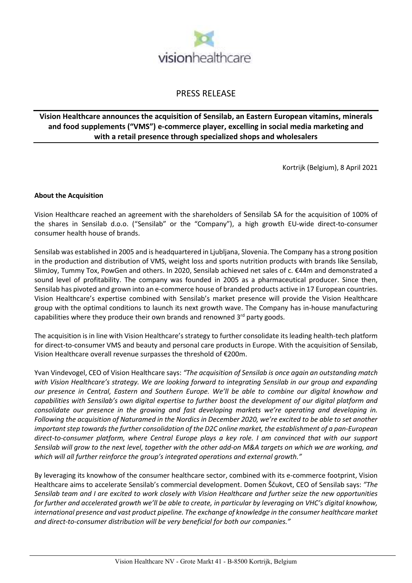

# PRESS RELEASE

# **Vision Healthcare announces the acquisition of Sensilab, an Eastern European vitamins, minerals and food supplements ("VMS") e-commerce player, excelling in social media marketing and with a retail presence through specialized shops and wholesalers**

Kortrijk (Belgium), 8 April 2021

## **About the Acquisition**

Vision Healthcare reached an agreement with the shareholders of Sensilab SA for the acquisition of 100% of the shares in Sensilab d.o.o. ("Sensilab" or the "Company"), a high growth EU-wide direct-to-consumer consumer health house of brands.

Sensilab was established in 2005 and is headquartered in Ljubljana, Slovenia. The Company has a strong position in the production and distribution of VMS, weight loss and sports nutrition products with brands like Sensilab, SlimJoy, Tummy Tox, PowGen and others. In 2020, Sensilab achieved net sales of c. €44m and demonstrated a sound level of profitability. The company was founded in 2005 as a pharmaceutical producer. Since then, Sensilab has pivoted and grown into an e-commerce house of branded products active in 17 European countries. Vision Healthcare's expertise combined with Sensilab's market presence will provide the Vision Healthcare group with the optimal conditions to launch its next growth wave. The Company has in-house manufacturing capabilities where they produce their own brands and renowned 3rd party goods.

The acquisition is in line with Vision Healthcare's strategy to further consolidate its leading health-tech platform for direct-to-consumer VMS and beauty and personal care products in Europe. With the acquisition of Sensilab, Vision Healthcare overall revenue surpasses the threshold of €200m.

Yvan Vindevogel, CEO of Vision Healthcare says: *"The acquisition of Sensilab is once again an outstanding match with Vision Healthcare's strategy. We are looking forward to integrating Sensilab in our group and expanding our presence in Central, Eastern and Southern Europe. We'll be able to combine our digital knowhow and capabilities with Sensilab's own digital expertise to further boost the development of our digital platform and consolidate our presence in the growing and fast developing markets we're operating and developing in. Following the acquisition of Naturamed in the Nordics in December 2020, we're excited to be able to set another important step towards the further consolidation of the D2C online market, the establishment of a pan-European direct-to-consumer platform, where Central Europe plays a key role. I am convinced that with our support Sensilab will grow to the next level, together with the other add-on M&A targets on which we are working, and which will all further reinforce the group's integrated operations and external growth."*

By leveraging its knowhow of the consumer healthcare sector, combined with its e-commerce footprint, Vision Healthcare aims to accelerate Sensilab's commercial development. Domen Ščukovt, CEO of Sensilab says: *"The Sensilab team and I are excited to work closely with Vision Healthcare and further seize the new opportunities for further and accelerated growth we'll be able to create, in particular by leveraging on VHC's digital knowhow, international presence and vast product pipeline. The exchange of knowledge in the consumer healthcare market and direct-to-consumer distribution will be very beneficial for both our companies."*